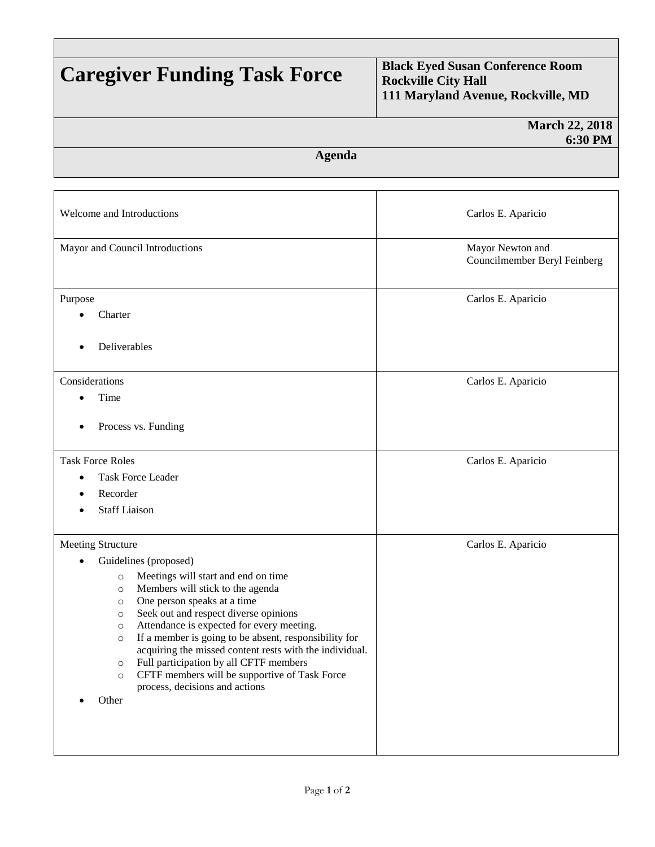## **Caregiver Funding Task Force Black Eyed Susan Conference Room Rockville City Hall 111 Maryland Avenue, Rockville, MD**

|                                                                                                                                                                                                                                                                                                                                                                                                                                                                                                                                                                                              | <b>March 22, 2018</b><br>6:30 PM                 |
|----------------------------------------------------------------------------------------------------------------------------------------------------------------------------------------------------------------------------------------------------------------------------------------------------------------------------------------------------------------------------------------------------------------------------------------------------------------------------------------------------------------------------------------------------------------------------------------------|--------------------------------------------------|
| <b>Agenda</b>                                                                                                                                                                                                                                                                                                                                                                                                                                                                                                                                                                                |                                                  |
| Welcome and Introductions                                                                                                                                                                                                                                                                                                                                                                                                                                                                                                                                                                    | Carlos E. Aparicio                               |
| Mayor and Council Introductions                                                                                                                                                                                                                                                                                                                                                                                                                                                                                                                                                              | Mayor Newton and<br>Councilmember Beryl Feinberg |
| Purpose<br>Charter<br>Deliverables                                                                                                                                                                                                                                                                                                                                                                                                                                                                                                                                                           | Carlos E. Aparicio                               |
| Considerations<br>Time<br>$\bullet$<br>Process vs. Funding                                                                                                                                                                                                                                                                                                                                                                                                                                                                                                                                   | Carlos E. Aparicio                               |
| <b>Task Force Roles</b><br><b>Task Force Leader</b><br>Recorder                                                                                                                                                                                                                                                                                                                                                                                                                                                                                                                              | Carlos E. Aparicio                               |
| <b>Staff Liaison</b>                                                                                                                                                                                                                                                                                                                                                                                                                                                                                                                                                                         |                                                  |
| Meeting Structure<br>Guidelines (proposed)<br>Meetings will start and end on time<br>$\circ$<br>Members will stick to the agenda<br>$\circ$<br>One person speaks at a time<br>$\circ$<br>Seek out and respect diverse opinions<br>$\circ$<br>Attendance is expected for every meeting.<br>$\circ$<br>If a member is going to be absent, responsibility for<br>$\circ$<br>acquiring the missed content rests with the individual.<br>Full participation by all CFTF members<br>$\circ$<br>CFTF members will be supportive of Task Force<br>$\circ$<br>process, decisions and actions<br>Other | Carlos E. Aparicio                               |